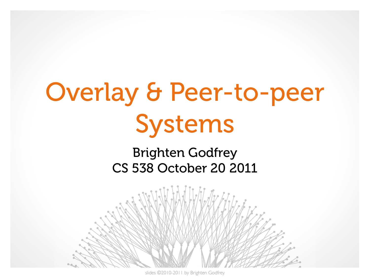# Overlay & Peer-to-peer Systems

#### Brighten Godfrey CS 538 October 20 2011



slides ©2010-2011 by Brighten Godfrey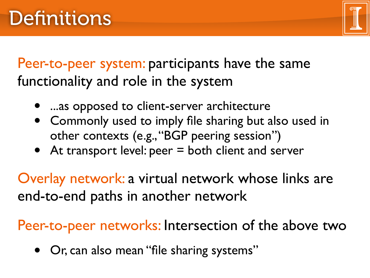

Peer-to-peer system: participants have the same functionality and role in the system

- ...as opposed to client-server architecture
- Commonly used to imply file sharing but also used in other contexts (e.g., "BGP peering session")
- At transport level: peer = both client and server

Overlay network: a virtual network whose links are end-to-end paths in another network

Peer-to-peer networks: Intersection of the above two

• Or, can also mean "file sharing systems"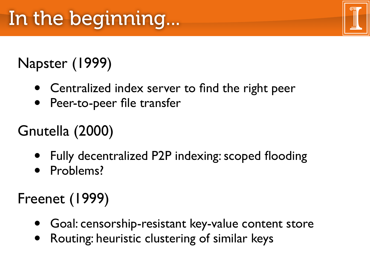### Napster (1999)

- Centralized index server to find the right peer
- Peer-to-peer file transfer

### Gnutella (2000)

- Fully decentralized P2P indexing: scoped flooding
- Problems?

### Freenet (1999)

- Goal: censorship-resistant key-value content store
- Routing: heuristic clustering of similar keys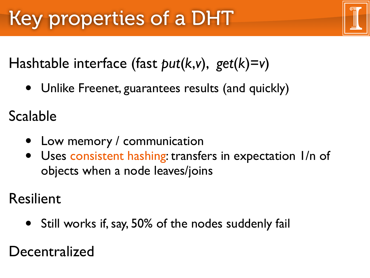Hashtable interface (fast *put*(*k*,*v*), *get*(*k*)=*v*)

• Unlike Freenet, guarantees results (and quickly)

Scalable

- Low memory / communication
- Uses consistent hashing: transfers in expectation I/n of objects when a node leaves/joins

Resilient

• Still works if, say, 50% of the nodes suddenly fail

Decentralized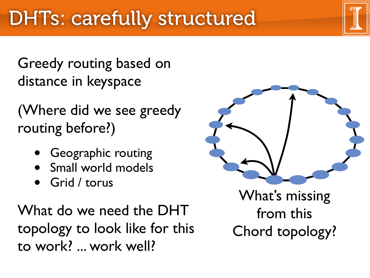Greedy routing based on distance in keyspace

(Where did we see greedy routing before?)

- **Geographic routing**
- Small world models
- Grid / torus

What do we need the DHT topology to look like for this to work? ... work well?



What's missing from this Chord topology?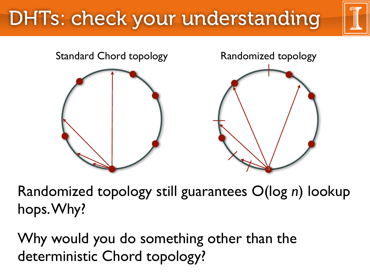## DHTs: check your understanding



Randomized topology still guarantees O(log *n*) lookup hops. Why?

Why would you do something other than the deterministic Chord topology?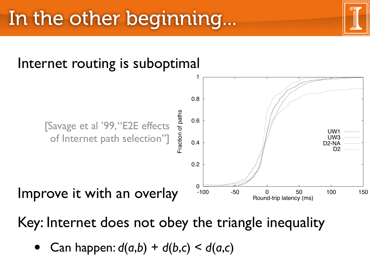

Key: Internet does not obey the triangle inequality Figure 1: CDF of the difference between the mean round-trip time  $\mathbf{r}$ ev the triangle inequality for an alternate path.

• Can happen:  $d(a,b) + d(b,c) < d(a,c)$  $\overline{\phantom{a}}$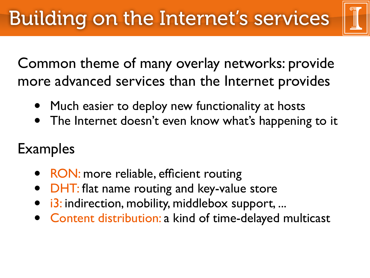Common theme of many overlay networks: provide more advanced services than the Internet provides

- Much easier to deploy new functionality at hosts
- The Internet doesn't even know what's happening to it

### Examples

- RON: more reliable, efficient routing
- DHT: flat name routing and key-value store
- i3: indirection, mobility, middlebox support, ...
- Content distribution: a kind of time-delayed multicast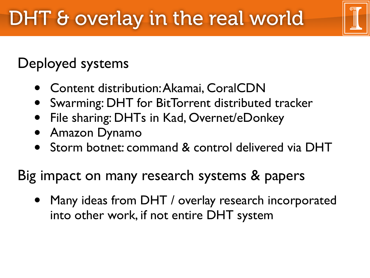### Deployed systems

- Content distribution: Akamai, CoralCDN
- Swarming: DHT for BitTorrent distributed tracker
- File sharing: DHTs in Kad, Overnet/eDonkey
- Amazon Dynamo
- Storm botnet: command & control delivered via DHT

### Big impact on many research systems & papers

• Many ideas from DHT / overlay research incorporated into other work, if not entire DHT system